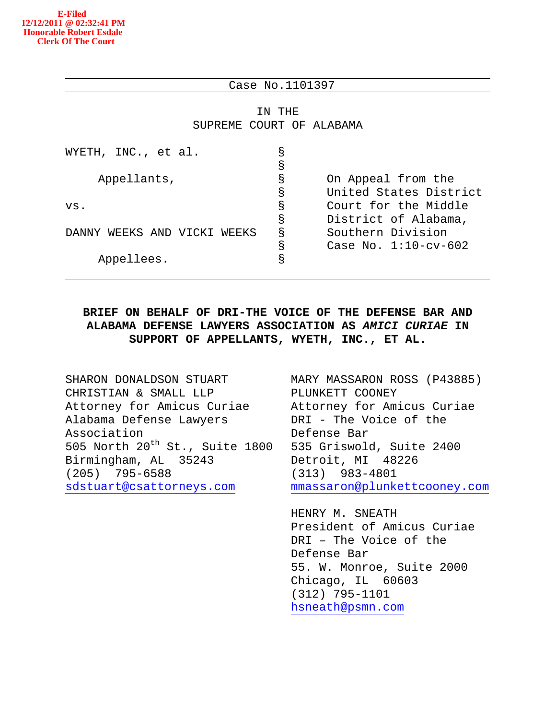### Case No.1101397

IN THE SUPREME COURT OF ALABAMA

| WYETH, INC., et al.            | g |                         |
|--------------------------------|---|-------------------------|
|                                | S |                         |
| Appellants,                    | g | On Appeal from the      |
|                                | S | United States District  |
| vs.                            | S | Court for the Middle    |
|                                | S | District of Alabama,    |
| DANNY WEEKS AND VICKI<br>WEEKS | S | Southern Division       |
|                                | g | Case No. $1:10$ -cv-602 |
| Appellees.                     | S |                         |
|                                |   |                         |

## **BRIEF ON BEHALF OF DRI-THE VOICE OF THE DEFENSE BAR AND ALABAMA DEFENSE LAWYERS ASSOCIATION AS** *AMICI CURIAE* **IN SUPPORT OF APPELLANTS, WYETH, INC., ET AL.**

SHARON DONALDSON STUART CHRISTIAN & SMALL LLP Attorney for Amicus Curiae Alabama Defense Lawyers Association 505 North  $20^{th}$  St., Suite 1800 Birmingham, AL 35243 (205) 795-6588 [sdstuart@csattorneys.com](mailto:sdstuart@csattorneys.com)

MARY MASSARON ROSS (P43885) PLUNKETT COONEY Attorney for Amicus Curiae DRI - The Voice of the Defense Bar 535 Griswold, Suite 2400 Detroit, MI 48226 (313) 983-4801 [mmassaron@plunkettcooney.com](mailto:mmassaron@plunkettcooney.com)

HENRY M. SNEATH President of Amicus Curiae DRI – The Voice of the Defense Bar 55. W. Monroe, Suite 2000 Chicago, IL 60603 (312) 795-1101 [hsneath@psmn.com](mailto:hsneath@psmn.com)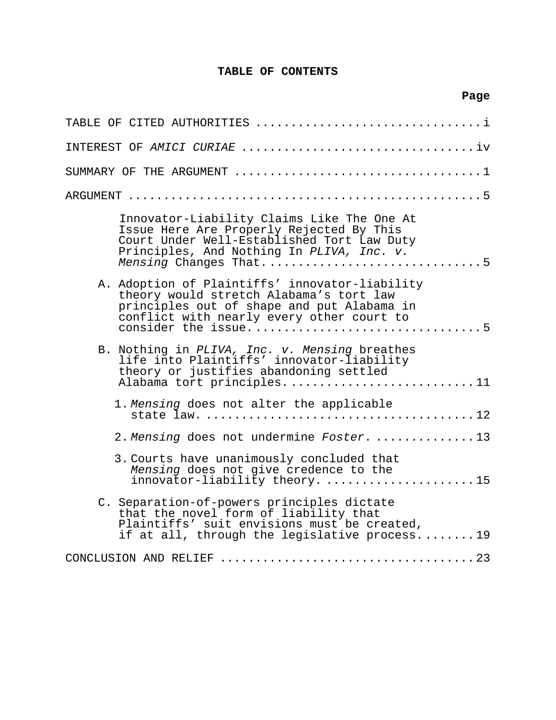## **TABLE OF CONTENTS**

**Page**

| TABLE OF CITED AUTHORITIES                                                                                                                                                                                 |
|------------------------------------------------------------------------------------------------------------------------------------------------------------------------------------------------------------|
|                                                                                                                                                                                                            |
|                                                                                                                                                                                                            |
| ARGUMENT                                                                                                                                                                                                   |
| Innovator-Liability Claims Like The One At<br>Issue Here Are Properly Rejected By This<br>Court Under Well-Established Tort Law Duty<br>Principles, And Nothing In PLIVA, Inc. v.<br>Mensing Changes That5 |
| A. Adoption of Plaintiffs' innovator-liability<br>theory would stretch Alabama's tort law<br>principles out of shape and put Alabama in<br>conflict with nearly every other court to                       |
| B. Nothing in PLIVA, Inc. v. Mensing breathes<br>life into Plaintiffs' innovator-liability<br>theory or justifies abandoning settled<br>Alabama tort principles11                                          |
| 1. Mensing does not alter the applicable                                                                                                                                                                   |
| 2. Mensing does not undermine Foster. 13                                                                                                                                                                   |
| 3. Courts have unanimously concluded that<br>Mensing does not give credence to the<br>innovator-liability theory. 15                                                                                       |
| C. Separation-of-powers principles dictate<br>that the novel form of liability that<br>Plaintiffs' suit envisions must be created,<br>if at all, through the legislative process19                         |
|                                                                                                                                                                                                            |
|                                                                                                                                                                                                            |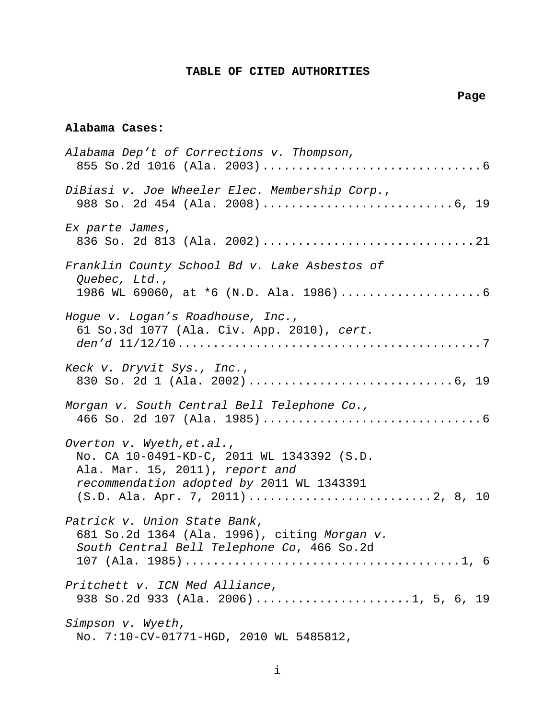## **TABLE OF CITED AUTHORITIES**

## **Page**

### <span id="page-2-0"></span>**Alabama Cases:**

| Alabama Dep't of Corrections v. Thompson,                                                                                                               |
|---------------------------------------------------------------------------------------------------------------------------------------------------------|
| DiBiasi v. Joe Wheeler Elec. Membership Corp.,                                                                                                          |
| Ex parte James,                                                                                                                                         |
| Franklin County School Bd v. Lake Asbestos of<br>Quebec, Ltd.,                                                                                          |
| Hogue v. Logan's Roadhouse, Inc.,<br>61 So.3d 1077 (Ala. Civ. App. 2010), cert.                                                                         |
| Keck v. Dryvit Sys., Inc.,                                                                                                                              |
| Morgan v. South Central Bell Telephone Co.,                                                                                                             |
| Overton v. Wyeth, et.al.,<br>No. CA 10-0491-KD-C, 2011 WL 1343392 (S.D.<br>Ala. Mar. 15, 2011), report and<br>recommendation adopted by 2011 WL 1343391 |
| Patrick v. Union State Bank,<br>681 So.2d 1364 (Ala. 1996), citing Morgan v.<br>South Central Bell Telephone Co, 466 So.2d                              |
| Pritchett v. ICN Med Alliance,<br>938 So.2d 933 (Ala. 2006)1, 5, 6, 19                                                                                  |
| Simpson v. Wyeth,<br>No. 7:10-CV-01771-HGD, 2010 WL 5485812,                                                                                            |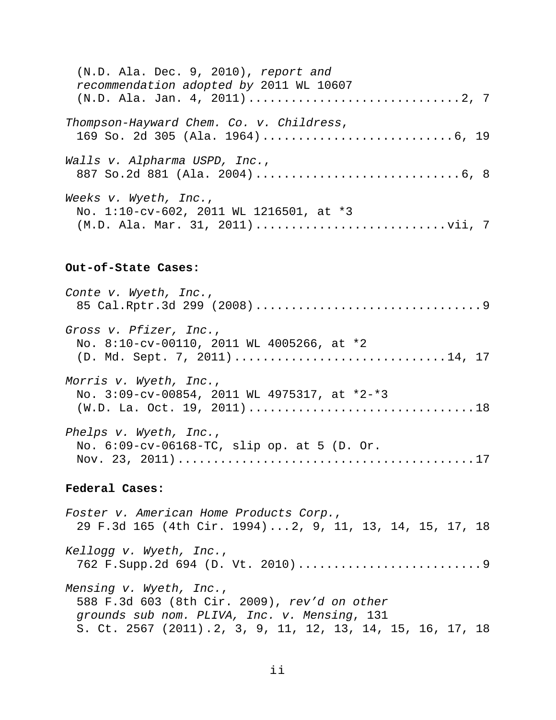| $(N.D. Ala. Dec. 9, 2010)$ , report and<br>recommendation adopted by 2011 WL 10607                  |
|-----------------------------------------------------------------------------------------------------|
| Thompson-Hayward Chem. Co. v. Childress,                                                            |
| Walls v. Alpharma USPD, Inc.,                                                                       |
| Weeks v. Wyeth, Inc.,<br>No. 1:10-cv-602, 2011 WL 1216501, at *3<br>(M.D. Ala. Mar. 31, 2011)vii, 7 |

### **Out-of-State Cases:**

| Conte v. Wyeth, Inc.,                                                                                |
|------------------------------------------------------------------------------------------------------|
| Gross v. Pfizer, Inc.,<br>No. 8:10-cv-00110, 2011 WL 4005266, at *2<br>(D. Md. Sept. 7, 2011)14, 17  |
| Morris v. Wyeth, Inc.,<br>No. 3:09-cv-00854, 2011 WL 4975317, at *2-*3<br>(W.D. La. Oct. 19, 2011)18 |
| Phelps v. Wyeth, Inc.,<br>No. 6:09-cv-06168-TC, slip op. at 5 (D. Or.                                |

## **Federal Cases:**

*Foster v. American Home Products Corp.*, 29 F.3d 165 (4th Cir. 1994)...2, 9, 11, 13, 14, 15, 17, 18 *Kellogg v. Wyeth, Inc.*, 762 F.Supp.2d 694 (D. Vt. 2010)..........................9 *Mensing v. Wyeth, Inc.*, 588 F.3d 603 (8th Cir. 2009), *rev'd on other grounds sub nom. PLIVA, Inc. v. Mensing*, 131 S. Ct. 2567 (2011).2, 3, 9, 11, 12, 13, 14, 15, 16, 17, 18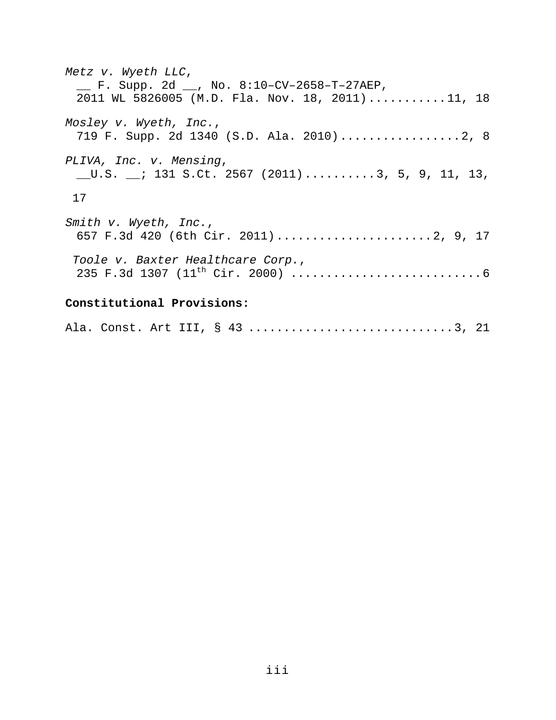*Metz v. Wyeth LLC*, \_\_ F. Supp. 2d \_\_, No. 8:10–CV–2658–T–27AEP, 2011 WL 5826005 (M.D. Fla. Nov. 18, 2011)...........11, 18 *Mosley v. Wyeth, Inc.*, 719 F. Supp. 2d 1340 (S.D. Ala. 2010).................2, 8 *PLIVA, Inc. v. Mensing*, \_\_U.S. \_\_; 131 S.Ct. 2567 (2011)..........3, 5, 9, 11, 13, 17 *Smith v. Wyeth, Inc.*, 657 F.3d 420 (6th Cir. 2011)......................2, 9, 17 *Toole v. Baxter Healthcare Corp.*, 235 F.3d 1307 (11th Cir. 2000) ...........................6 **Constitutional Provisions:**

Ala. Const. Art III, § 43 .................................3, 21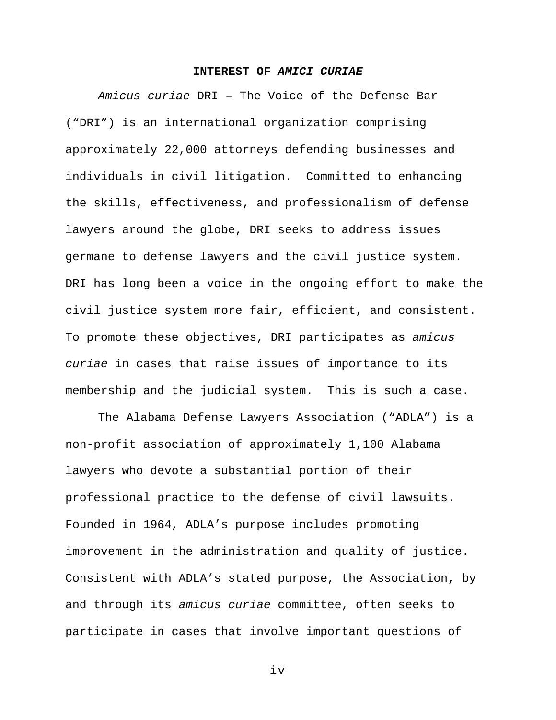#### **INTEREST OF** *AMICI CURIAE*

<span id="page-5-0"></span>*Amicus curiae* DRI – The Voice of the Defense Bar ("DRI") is an international organization comprising approximately 22,000 attorneys defending businesses and individuals in civil litigation. Committed to enhancing the skills, effectiveness, and professionalism of defense lawyers around the globe, DRI seeks to address issues germane to defense lawyers and the civil justice system. DRI has long been a voice in the ongoing effort to make the civil justice system more fair, efficient, and consistent. To promote these objectives, DRI participates as *amicus curiae* in cases that raise issues of importance to its membership and the judicial system. This is such a case.

The Alabama Defense Lawyers Association ("ADLA") is a non-profit association of approximately 1,100 Alabama lawyers who devote a substantial portion of their professional practice to the defense of civil lawsuits. Founded in 1964, ADLA's purpose includes promoting improvement in the administration and quality of justice. Consistent with ADLA's stated purpose, the Association, by and through its *amicus curiae* committee, often seeks to participate in cases that involve important questions of

iv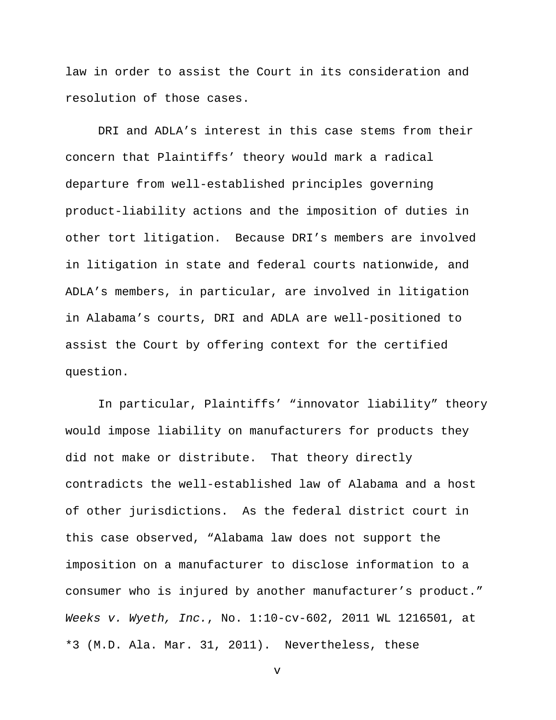law in order to assist the Court in its consideration and resolution of those cases.

DRI and ADLA's interest in this case stems from their concern that Plaintiffs' theory would mark a radical departure from well-established principles governing product-liability actions and the imposition of duties in other tort litigation. Because DRI's members are involved in litigation in state and federal courts nationwide, and ADLA's members, in particular, are involved in litigation in Alabama's courts, DRI and ADLA are well-positioned to assist the Court by offering context for the certified question.

In particular, Plaintiffs' "innovator liability" theory would impose liability on manufacturers for products they did not make or distribute. That theory directly contradicts the well-established law of Alabama and a host of other jurisdictions. As the federal district court in this case observed, "Alabama law does not support the imposition on a manufacturer to disclose information to a consumer who is injured by another manufacturer's product." *Weeks v. Wyeth, Inc.*, No. 1:10-cv-602, 2011 WL 1216501, at \*3 (M.D. Ala. Mar. 31, 2011). Nevertheless, these

v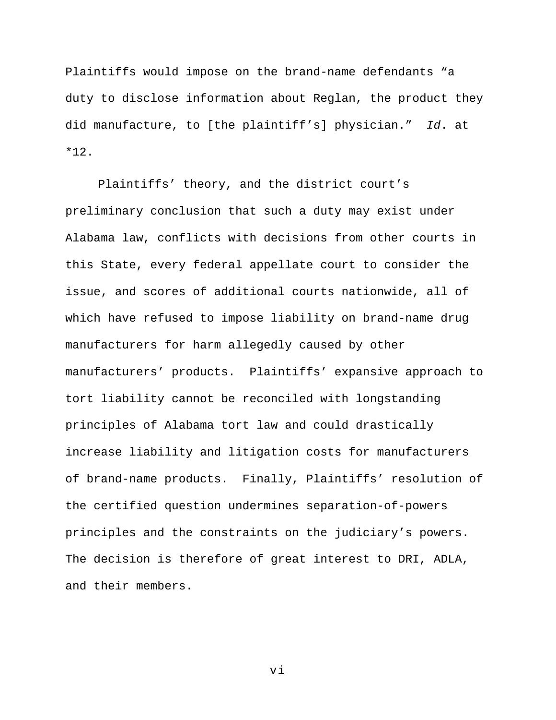Plaintiffs would impose on the brand-name defendants "a duty to disclose information about Reglan, the product they did manufacture, to [the plaintiff's] physician." *Id*. at \*12.

Plaintiffs' theory, and the district court's preliminary conclusion that such a duty may exist under Alabama law, conflicts with decisions from other courts in this State, every federal appellate court to consider the issue, and scores of additional courts nationwide, all of which have refused to impose liability on brand-name drug manufacturers for harm allegedly caused by other manufacturers' products. Plaintiffs' expansive approach to tort liability cannot be reconciled with longstanding principles of Alabama tort law and could drastically increase liability and litigation costs for manufacturers of brand-name products. Finally, Plaintiffs' resolution of the certified question undermines separation-of-powers principles and the constraints on the judiciary's powers. The decision is therefore of great interest to DRI, ADLA, and their members.

vi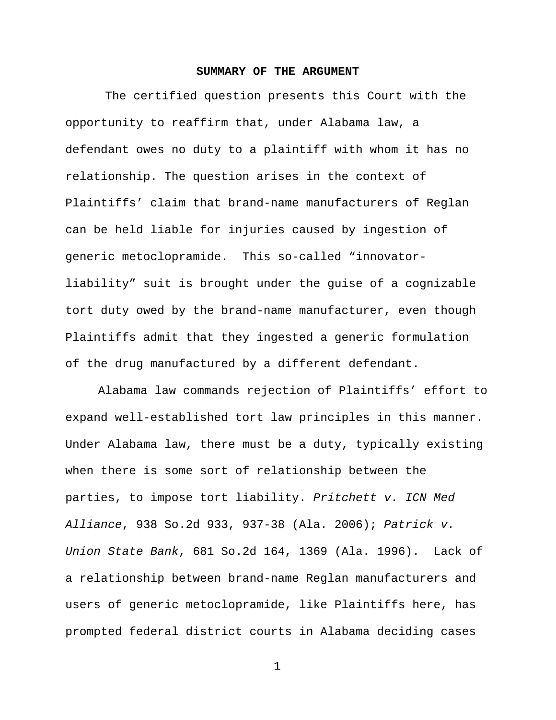#### **SUMMARY OF THE ARGUMENT**

<span id="page-8-0"></span>The certified question presents this Court with the opportunity to reaffirm that, under Alabama law, a defendant owes no duty to a plaintiff with whom it has no relationship. The question arises in the context of Plaintiffs' claim that brand-name manufacturers of Reglan can be held liable for injuries caused by ingestion of generic metoclopramide. This so-called "innovatorliability" suit is brought under the guise of a cognizable tort duty owed by the brand-name manufacturer, even though Plaintiffs admit that they ingested a generic formulation of the drug manufactured by a different defendant.

Alabama law commands rejection of Plaintiffs' effort to expand well-established tort law principles in this manner. Under Alabama law, there must be a duty, typically existing when there is some sort of relationship between the parties, to impose tort liability. *Pritchett v. ICN Med Alliance*, 938 So.2d 933, 937-38 (Ala. 2006); *Patrick v. Union State Bank*, 681 So.2d 164, 1369 (Ala. 1996). Lack of a relationship between brand-name Reglan manufacturers and users of generic metoclopramide, like Plaintiffs here, has prompted federal district courts in Alabama deciding cases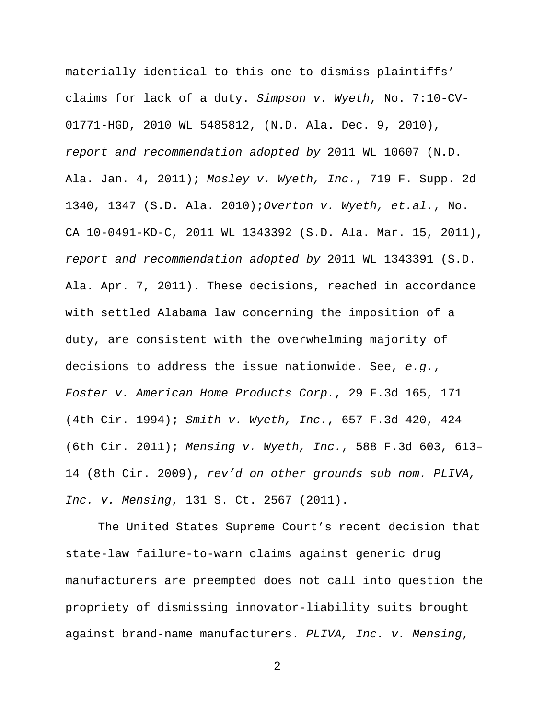materially identical to this one to dismiss plaintiffs' claims for lack of a duty. *Simpson v. Wyeth*, No. 7:10-CV-01771-HGD, 2010 WL 5485812, (N.D. Ala. Dec. 9, 2010), *report and recommendation adopted by* 2011 WL 10607 (N.D. Ala. Jan. 4, 2011); *Mosley v. Wyeth, Inc.*, 719 F. Supp. 2d 1340, 1347 (S.D. Ala. 2010);*Overton v. Wyeth, et.al.*, No. CA 10-0491-KD-C, 2011 WL 1343392 (S.D. Ala. Mar. 15, 2011), *report and recommendation adopted by* 2011 WL 1343391 (S.D. Ala. Apr. 7, 2011). These decisions, reached in accordance with settled Alabama law concerning the imposition of a duty, are consistent with the overwhelming majority of decisions to address the issue nationwide. See, *e.g.*, *Foster v. American Home Products Corp.*, 29 F.3d 165, 171 (4th Cir. 1994); *Smith v. Wyeth, Inc.*, 657 F.3d 420, 424 (6th Cir. 2011); *Mensing v. Wyeth, Inc.*, 588 F.3d 603, 613– 14 (8th Cir. 2009), *rev'd on other grounds sub nom. PLIVA, Inc. v. Mensing*, 131 S. Ct. 2567 (2011).

The United States Supreme Court's recent decision that state-law failure-to-warn claims against generic drug manufacturers are preempted does not call into question the propriety of dismissing innovator-liability suits brought against brand-name manufacturers. *PLIVA, Inc. v. Mensing*,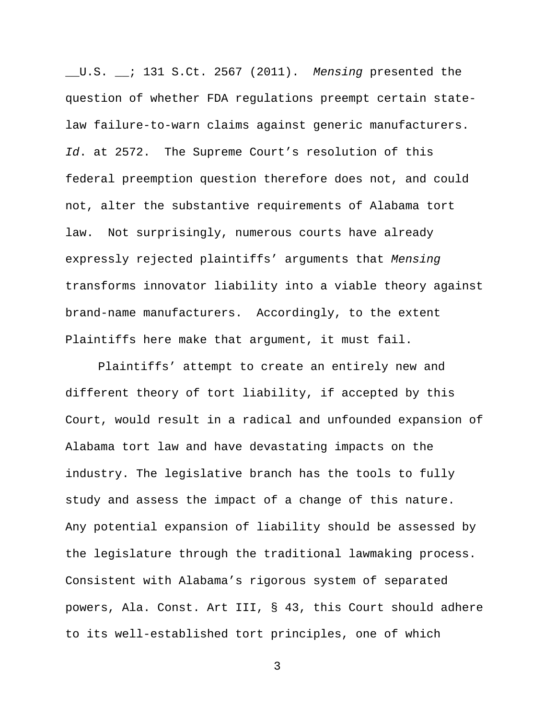\_\_U.S. \_\_; 131 S.Ct. 2567 (2011). *Mensing* presented the question of whether FDA regulations preempt certain statelaw failure-to-warn claims against generic manufacturers. *Id*. at 2572. The Supreme Court's resolution of this federal preemption question therefore does not, and could not, alter the substantive requirements of Alabama tort law. Not surprisingly, numerous courts have already expressly rejected plaintiffs' arguments that *Mensing* transforms innovator liability into a viable theory against brand-name manufacturers. Accordingly, to the extent Plaintiffs here make that argument, it must fail.

Plaintiffs' attempt to create an entirely new and different theory of tort liability, if accepted by this Court, would result in a radical and unfounded expansion of Alabama tort law and have devastating impacts on the industry. The legislative branch has the tools to fully study and assess the impact of a change of this nature. Any potential expansion of liability should be assessed by the legislature through the traditional lawmaking process. Consistent with Alabama's rigorous system of separated powers, Ala. Const. Art III, § 43, this Court should adhere to its well-established tort principles, one of which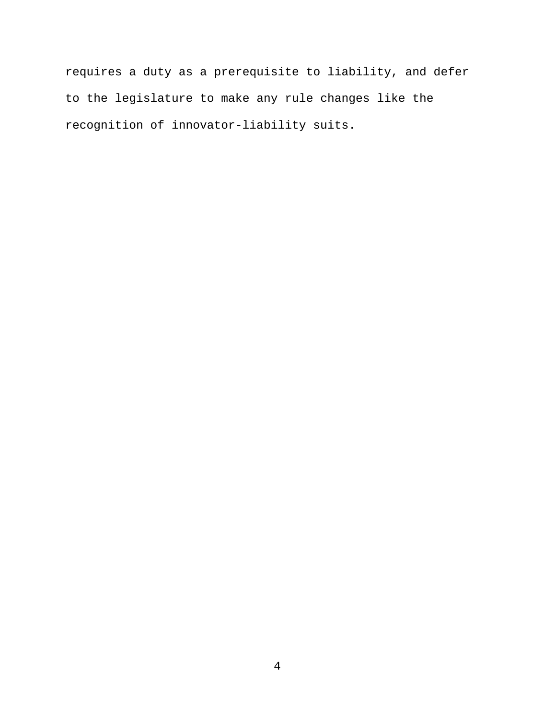requires a duty as a prerequisite to liability, and defer to the legislature to make any rule changes like the recognition of innovator-liability suits.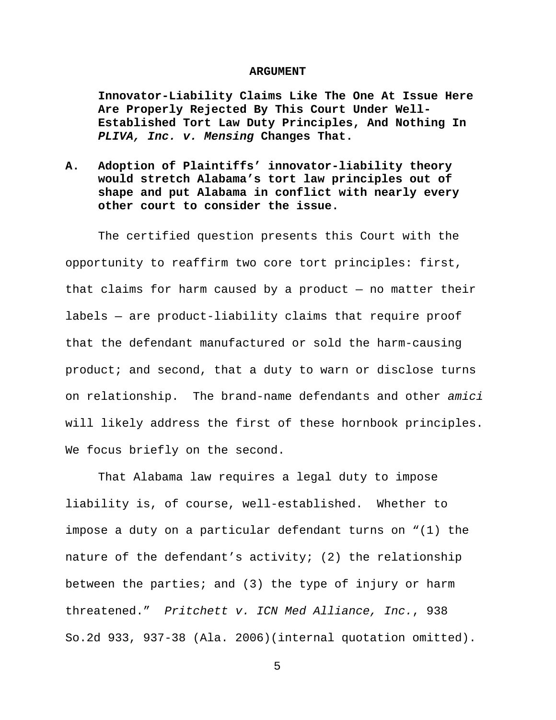#### **ARGUMENT**

<span id="page-12-1"></span><span id="page-12-0"></span>**Innovator-Liability Claims Like The One At Issue Here Are Properly Rejected By This Court Under Well-Established Tort Law Duty Principles, And Nothing In**  *PLIVA, Inc. v. Mensing* **Changes That.** 

<span id="page-12-2"></span>**A. Adoption of Plaintiffs' innovator-liability theory would stretch Alabama's tort law principles out of shape and put Alabama in conflict with nearly every other court to consider the issue.** 

The certified question presents this Court with the opportunity to reaffirm two core tort principles: first, that claims for harm caused by a product  $-$  no matter their labels — are product-liability claims that require proof that the defendant manufactured or sold the harm-causing product; and second, that a duty to warn or disclose turns on relationship. The brand-name defendants and other *amici* will likely address the first of these hornbook principles. We focus briefly on the second.

That Alabama law requires a legal duty to impose liability is, of course, well-established. Whether to impose a duty on a particular defendant turns on "(1) the nature of the defendant's activity; (2) the relationship between the parties; and (3) the type of injury or harm threatened." *Pritchett v. ICN Med Alliance, Inc.*, 938 So.2d 933, 937-38 (Ala. 2006)(internal quotation omitted).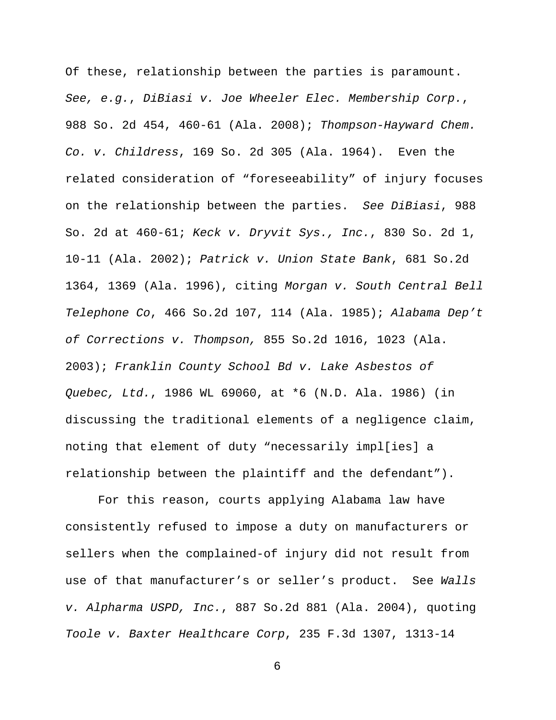Of these, relationship between the parties is paramount. *See, e.g.*, *DiBiasi v. Joe Wheeler Elec. Membership Corp.*, 988 So. 2d 454, 460-61 (Ala. 2008); *Thompson-Hayward Chem. Co. v. Childress*, 169 So. 2d 305 (Ala. 1964). Even the related consideration of "foreseeability" of injury focuses on the relationship between the parties. *See DiBiasi*, 988 So. 2d at 460-61; *Keck v. Dryvit Sys., Inc.*, 830 So. 2d 1, 10-11 (Ala. 2002); *Patrick v. Union State Bank*, 681 So.2d 1364, 1369 (Ala. 1996), citing *Morgan v. South Central Bell Telephone Co*, 466 So.2d 107, 114 (Ala. 1985); *Alabama Dep't of Corrections v. Thompson,* 855 So.2d 1016, 1023 (Ala. 2003); *Franklin County School Bd v. Lake Asbestos of Quebec, Ltd.*, 1986 WL 69060, at \*6 (N.D. Ala. 1986) (in discussing the traditional elements of a negligence claim, noting that element of duty "necessarily impl[ies] a relationship between the plaintiff and the defendant").

For this reason, courts applying Alabama law have consistently refused to impose a duty on manufacturers or sellers when the complained-of injury did not result from use of that manufacturer's or seller's product. See *Walls v. Alpharma USPD, Inc.*, 887 So.2d 881 (Ala. 2004), quoting *Toole v. Baxter Healthcare Corp*, 235 F.3d 1307, 1313-14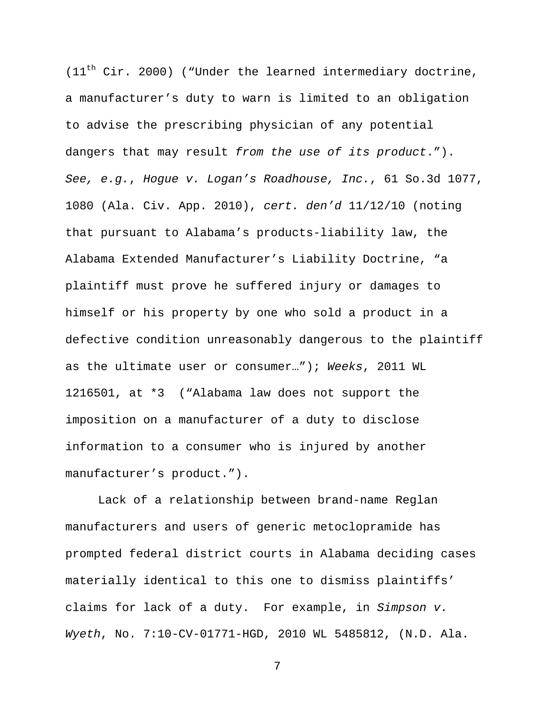$(11<sup>th</sup> Cir. 2000)$  ("Under the learned intermediary doctrine, a manufacturer's duty to warn is limited to an obligation to advise the prescribing physician of any potential dangers that may result *from the use of its product*."). *See, e.g.*, *Hogue v. Logan's Roadhouse, Inc.*, 61 So.3d 1077, 1080 (Ala. Civ. App. 2010), *cert. den'd* 11/12/10 (noting that pursuant to Alabama's products-liability law, the Alabama Extended Manufacturer's Liability Doctrine, "a plaintiff must prove he suffered injury or damages to himself or his property by one who sold a product in a defective condition unreasonably dangerous to the plaintiff as the ultimate user or consumer…"); *Weeks*, 2011 WL 1216501, at \*3 ("Alabama law does not support the imposition on a manufacturer of a duty to disclose information to a consumer who is injured by another manufacturer's product.").

Lack of a relationship between brand-name Reglan manufacturers and users of generic metoclopramide has prompted federal district courts in Alabama deciding cases materially identical to this one to dismiss plaintiffs' claims for lack of a duty. For example, in *Simpson v. Wyeth*, No. 7:10-CV-01771-HGD, 2010 WL 5485812, (N.D. Ala.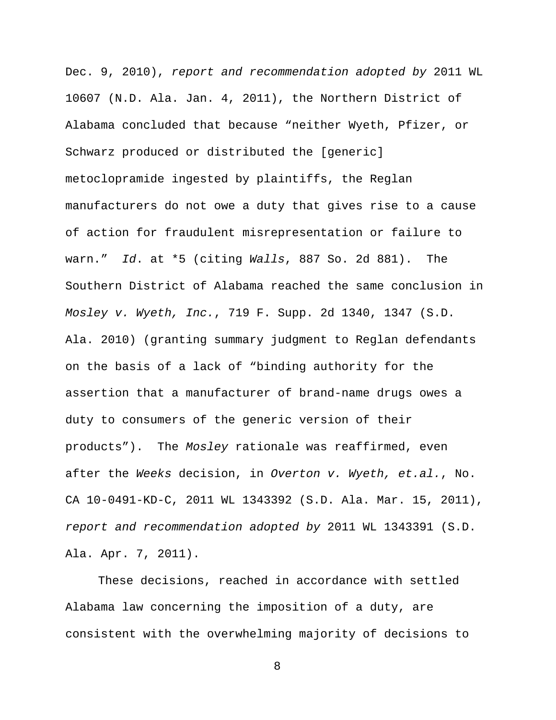Dec. 9, 2010), *report and recommendation adopted by* 2011 WL 10607 (N.D. Ala. Jan. 4, 2011), the Northern District of Alabama concluded that because "neither Wyeth, Pfizer, or Schwarz produced or distributed the [generic] metoclopramide ingested by plaintiffs, the Reglan manufacturers do not owe a duty that gives rise to a cause of action for fraudulent misrepresentation or failure to warn." *Id*. at \*5 (citing *Walls*, 887 So. 2d 881). The Southern District of Alabama reached the same conclusion in *Mosley v. Wyeth, Inc.*, 719 F. Supp. 2d 1340, 1347 (S.D. Ala. 2010) (granting summary judgment to Reglan defendants on the basis of a lack of "binding authority for the assertion that a manufacturer of brand-name drugs owes a duty to consumers of the generic version of their products"). The *Mosley* rationale was reaffirmed, even after the *Weeks* decision, in *Overton v. Wyeth, et.al.*, No. CA 10-0491-KD-C, 2011 WL 1343392 (S.D. Ala. Mar. 15, 2011), *report and recommendation adopted by* 2011 WL 1343391 (S.D. Ala. Apr. 7, 2011).

These decisions, reached in accordance with settled Alabama law concerning the imposition of a duty, are consistent with the overwhelming majority of decisions to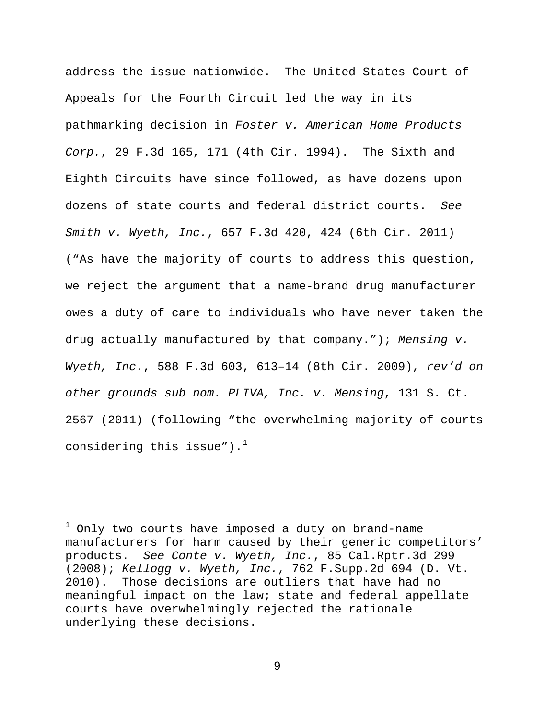address the issue nationwide. The United States Court of Appeals for the Fourth Circuit led the way in its pathmarking decision in *Foster v. American Home Products Corp.*, 29 F.3d 165, 171 (4th Cir. 1994). The Sixth and Eighth Circuits have since followed, as have dozens upon dozens of state courts and federal district courts. *See Smith v. Wyeth, Inc.*, 657 F.3d 420, 424 (6th Cir. 2011) ("As have the majority of courts to address this question, we reject the argument that a name-brand drug manufacturer owes a duty of care to individuals who have never taken the drug actually manufactured by that company."); *Mensing v. Wyeth, Inc.*, 588 F.3d 603, 613–14 (8th Cir. 2009), *rev'd on other grounds sub nom. PLIVA, Inc. v. Mensing*, 131 S. Ct. 2567 (2011) (following "the overwhelming majority of courts considering this issue"). $^1$  $^1$ 

 $\overline{a}$ 

<span id="page-16-0"></span>Only two courts have imposed a duty on brand-name manufacturers for harm caused by their generic competitors' products. *See Conte v. Wyeth, Inc.*, 85 Cal.Rptr.3d 299 (2008); *Kellogg v. Wyeth, Inc.*, 762 F.Supp.2d 694 (D. Vt. 2010). Those decisions are outliers that have had no meaningful impact on the law; state and federal appellate courts have overwhelmingly rejected the rationale underlying these decisions.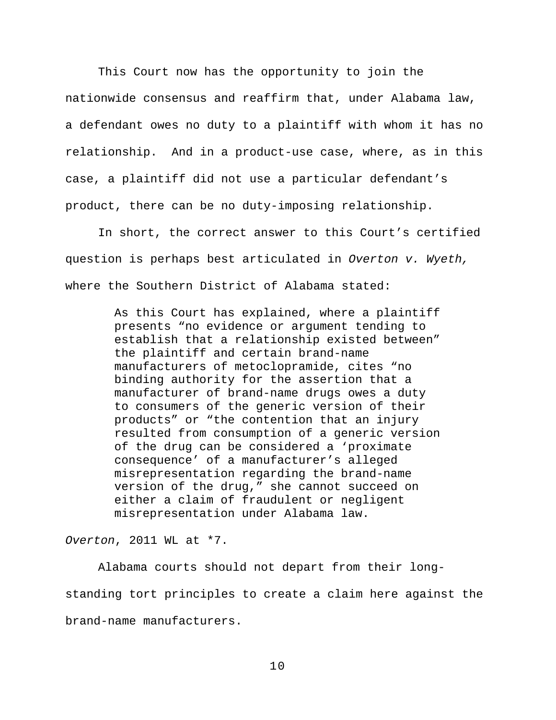This Court now has the opportunity to join the nationwide consensus and reaffirm that, under Alabama law, a defendant owes no duty to a plaintiff with whom it has no relationship. And in a product-use case, where, as in this case, a plaintiff did not use a particular defendant's product, there can be no duty-imposing relationship.

In short, the correct answer to this Court's certified question is perhaps best articulated in *Overton v. Wyeth,* where the Southern District of Alabama stated:

> As this Court has explained, where a plaintiff presents "no evidence or argument tending to establish that a relationship existed between" the plaintiff and certain brand-name manufacturers of metoclopramide, cites "no binding authority for the assertion that a manufacturer of brand-name drugs owes a duty to consumers of the generic version of their products" or "the contention that an injury resulted from consumption of a generic version of the drug can be considered a 'proximate consequence' of a manufacturer's alleged misrepresentation regarding the brand-name version of the drug," she cannot succeed on either a claim of fraudulent or negligent misrepresentation under Alabama law.

*Overton*, 2011 WL at \*7.

Alabama courts should not depart from their longstanding tort principles to create a claim here against the brand-name manufacturers.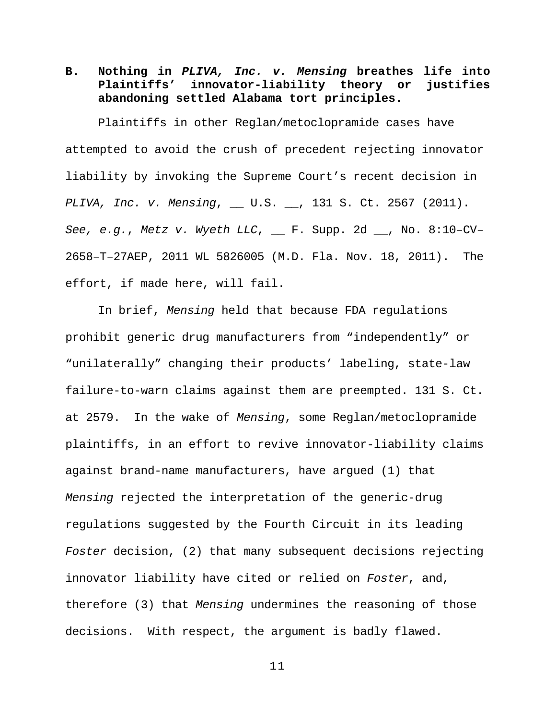<span id="page-18-0"></span>**B. Nothing in** *PLIVA, Inc. v. Mensing* **breathes life into Plaintiffs' innovator-liability theory or justifies abandoning settled Alabama tort principles.**

Plaintiffs in other Reglan/metoclopramide cases have attempted to avoid the crush of precedent rejecting innovator liability by invoking the Supreme Court's recent decision in *PLIVA, Inc. v. Mensing*, \_\_ U.S. \_\_, 131 S. Ct. 2567 (2011). *See, e.g.*, *Metz v. Wyeth LLC*, \_\_ F. Supp. 2d \_\_, No. 8:10–CV– 2658–T–27AEP, 2011 WL 5826005 (M.D. Fla. Nov. 18, 2011). The effort, if made here, will fail.

In brief, *Mensing* held that because FDA regulations prohibit generic drug manufacturers from "independently" or "unilaterally" changing their products' labeling, state-law failure-to-warn claims against them are preempted. 131 S. Ct. at 2579. In the wake of *Mensing*, some Reglan/metoclopramide plaintiffs, in an effort to revive innovator-liability claims against brand-name manufacturers, have argued (1) that *Mensing* rejected the interpretation of the generic-drug regulations suggested by the Fourth Circuit in its leading *Foster* decision, (2) that many subsequent decisions rejecting innovator liability have cited or relied on *Foster*, and, therefore (3) that *Mensing* undermines the reasoning of those decisions. With respect, the argument is badly flawed.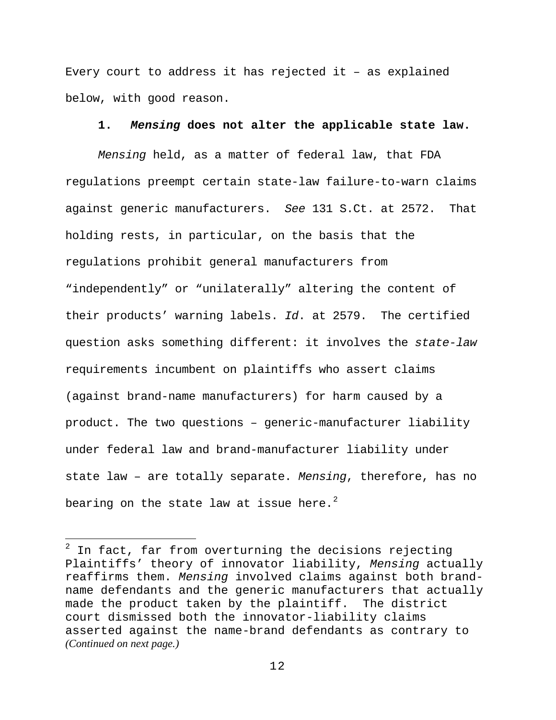Every court to address it has rejected it – as explained below, with good reason.

### **1.** *Mensing* **does not alter the applicable state law.**

<span id="page-19-0"></span>*Mensing* held, as a matter of federal law, that FDA regulations preempt certain state-law failure-to-warn claims against generic manufacturers. *See* 131 S.Ct. at 2572. That holding rests, in particular, on the basis that the regulations prohibit general manufacturers from "independently" or "unilaterally" altering the content of their products' warning labels. *Id*. at 2579. The certified question asks something different: it involves the *state-law* requirements incumbent on plaintiffs who assert claims (against brand-name manufacturers) for harm caused by a product. The two questions – generic-manufacturer liability under federal law and brand-manufacturer liability under state law – are totally separate. *Mensing*, therefore, has no bearing on the state law at issue here. $^2$  $^2$ 

 $\overline{a}$ 

<span id="page-19-1"></span> $2$  In fact, far from overturning the decisions rejecting Plaintiffs' theory of innovator liability, *Mensing* actually reaffirms them. *Mensing* involved claims against both brandname defendants and the generic manufacturers that actually made the product taken by the plaintiff. The district court dismissed both the innovator-liability claims asserted against the name-brand defendants as contrary to *(Continued on next page.)*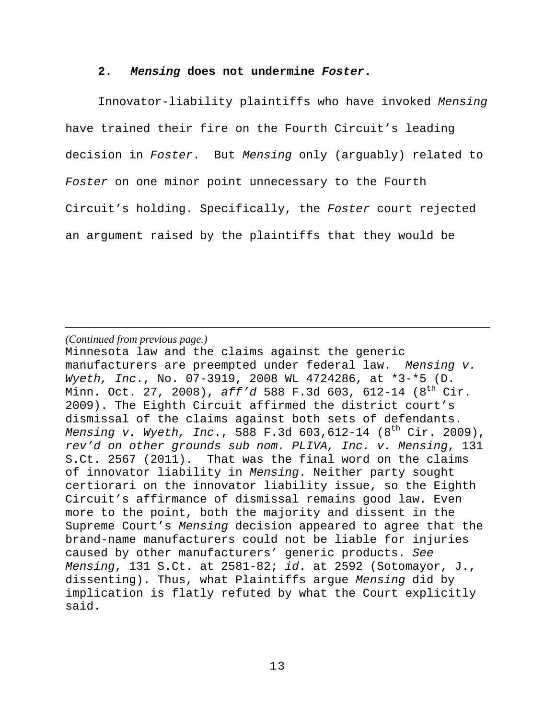### **2.** *Mensing* **does not undermine** *Foster***.**

<span id="page-20-0"></span>Innovator-liability plaintiffs who have invoked *Mensing* have trained their fire on the Fourth Circuit's leading decision in *Foster*. But *Mensing* only (arguably) related to *Foster* on one minor point unnecessary to the Fourth Circuit's holding. Specifically, the *Foster* court rejected an argument raised by the plaintiffs that they would be

*(Continued from previous page.)*

 $\overline{a}$ 

Minnesota law and the claims against the generic manufacturers are preempted under federal law. *Mensing v. Wyeth, Inc*., No. 07-3919, 2008 WL 4724286, at \*3-\*5 (D. Minn. Oct. 27, 2008), *aff'd* 588 F.3d 603, 612-14 (8th Cir. 2009). The Eighth Circuit affirmed the district court's dismissal of the claims against both sets of defendants. *Mensing v. Wyeth, Inc*., 588 F.3d 603,612-14 (8th Cir. 2009), *rev'd on other grounds sub nom. PLIVA, Inc. v. Mensing*, 131 S.Ct. 2567 (2011). That was the final word on the claims of innovator liability in *Mensing*. Neither party sought certiorari on the innovator liability issue, so the Eighth Circuit's affirmance of dismissal remains good law. Even more to the point, both the majority and dissent in the Supreme Court's *Mensing* decision appeared to agree that the brand-name manufacturers could not be liable for injuries caused by other manufacturers' generic products. *See Mensing*, 131 S.Ct. at 2581-82; *id*. at 2592 (Sotomayor, J., dissenting). Thus, what Plaintiffs argue *Mensing* did by implication is flatly refuted by what the Court explicitly said.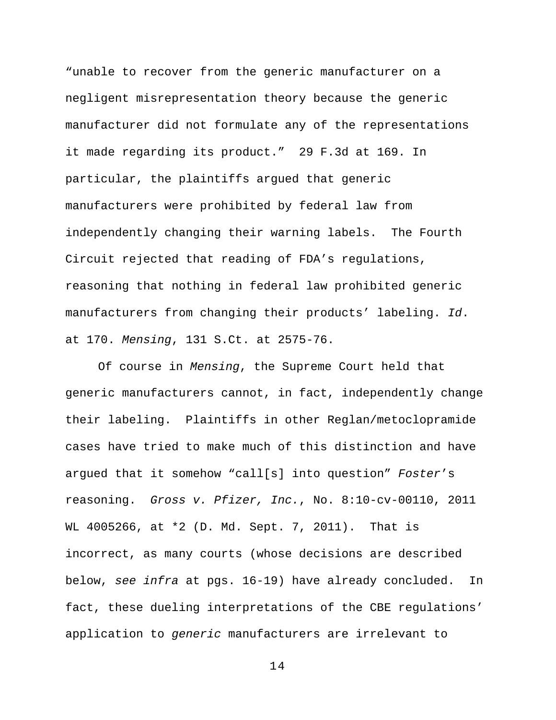"unable to recover from the generic manufacturer on a negligent misrepresentation theory because the generic manufacturer did not formulate any of the representations it made regarding its product." 29 F.3d at 169. In particular, the plaintiffs argued that generic manufacturers were prohibited by federal law from independently changing their warning labels. The Fourth Circuit rejected that reading of FDA's regulations, reasoning that nothing in federal law prohibited generic manufacturers from changing their products' labeling. *Id*. at 170. *Mensing*, 131 S.Ct. at 2575-76.

Of course in *Mensing*, the Supreme Court held that generic manufacturers cannot, in fact, independently change their labeling. Plaintiffs in other Reglan/metoclopramide cases have tried to make much of this distinction and have argued that it somehow "call[s] into question" *Foster*'s reasoning. *Gross v. Pfizer, Inc.*, No. 8:10-cv-00110, 2011 WL 4005266, at \*2 (D. Md. Sept. 7, 2011). That is incorrect, as many courts (whose decisions are described below, *see infra* at pgs. 16-19) have already concluded. In fact, these dueling interpretations of the CBE regulations' application to *generic* manufacturers are irrelevant to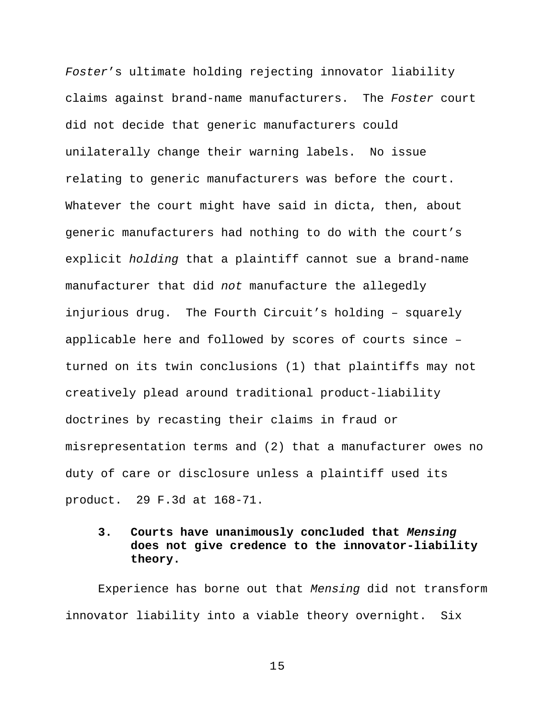*Foster*'s ultimate holding rejecting innovator liability claims against brand-name manufacturers. The *Foster* court did not decide that generic manufacturers could unilaterally change their warning labels. No issue relating to generic manufacturers was before the court. Whatever the court might have said in dicta, then, about generic manufacturers had nothing to do with the court's explicit *holding* that a plaintiff cannot sue a brand-name manufacturer that did *not* manufacture the allegedly injurious drug. The Fourth Circuit's holding – squarely applicable here and followed by scores of courts since – turned on its twin conclusions (1) that plaintiffs may not creatively plead around traditional product-liability doctrines by recasting their claims in fraud or misrepresentation terms and (2) that a manufacturer owes no duty of care or disclosure unless a plaintiff used its product. 29 F.3d at 168-71.

## <span id="page-22-0"></span>**3. Courts have unanimously concluded that** *Mensing* **does not give credence to the innovator-liability theory.**

Experience has borne out that *Mensing* did not transform innovator liability into a viable theory overnight. Six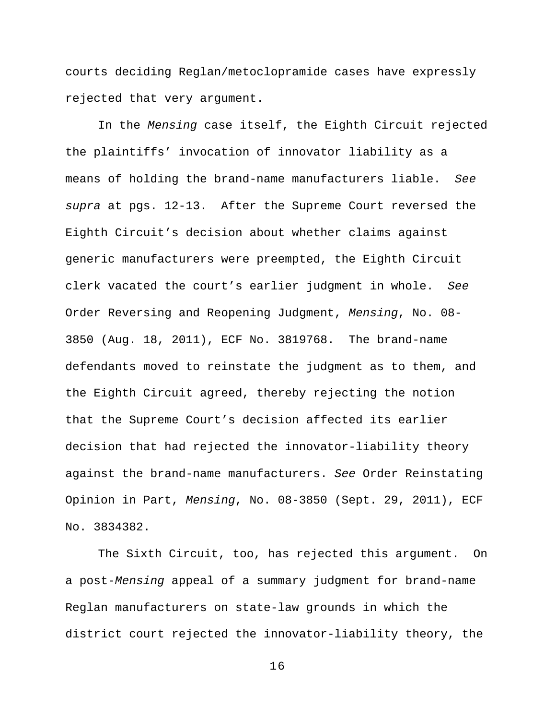courts deciding Reglan/metoclopramide cases have expressly rejected that very argument.

In the *Mensing* case itself, the Eighth Circuit rejected the plaintiffs' invocation of innovator liability as a means of holding the brand-name manufacturers liable. *See supra* at pgs. 12-13. After the Supreme Court reversed the Eighth Circuit's decision about whether claims against generic manufacturers were preempted, the Eighth Circuit clerk vacated the court's earlier judgment in whole. *See* Order Reversing and Reopening Judgment, *Mensing*, No. 08- 3850 (Aug. 18, 2011), ECF No. 3819768. The brand-name defendants moved to reinstate the judgment as to them, and the Eighth Circuit agreed, thereby rejecting the notion that the Supreme Court's decision affected its earlier decision that had rejected the innovator-liability theory against the brand-name manufacturers. *See* Order Reinstating Opinion in Part, *Mensing*, No. 08-3850 (Sept. 29, 2011), ECF No. 3834382.

The Sixth Circuit, too, has rejected this argument. On a post-*Mensing* appeal of a summary judgment for brand-name Reglan manufacturers on state-law grounds in which the district court rejected the innovator-liability theory, the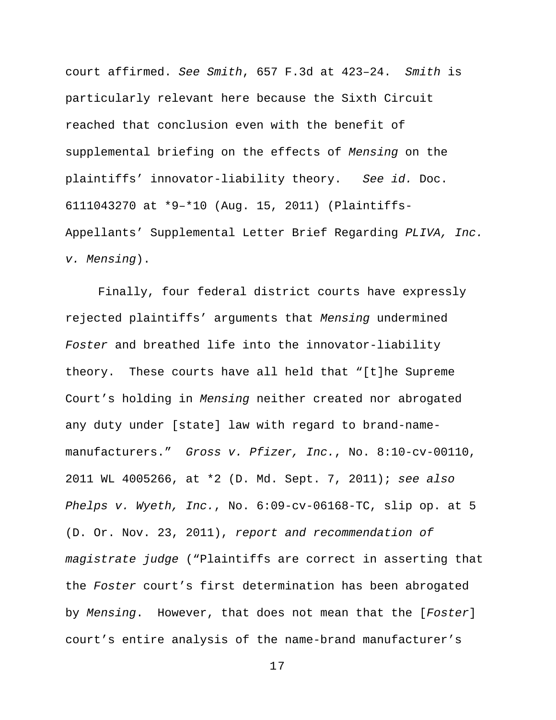court affirmed. *See Smith*, 657 F.3d at 423–24. *Smith* is particularly relevant here because the Sixth Circuit reached that conclusion even with the benefit of supplemental briefing on the effects of *Mensing* on the plaintiffs' innovator-liability theory. *See id.* Doc. 6111043270 at \*9–\*10 (Aug. 15, 2011) (Plaintiffs-Appellants' Supplemental Letter Brief Regarding *PLIVA, Inc. v. Mensing*).

Finally, four federal district courts have expressly rejected plaintiffs' arguments that *Mensing* undermined *Foster* and breathed life into the innovator-liability theory. These courts have all held that "[t]he Supreme Court's holding in *Mensing* neither created nor abrogated any duty under [state] law with regard to brand-namemanufacturers." *Gross v. Pfizer, Inc.*, No. 8:10-cv-00110, 2011 WL 4005266, at \*2 (D. Md. Sept. 7, 2011); *see also Phelps v. Wyeth, Inc.*, No. 6:09-cv-06168-TC, slip op. at 5 (D. Or. Nov. 23, 2011), *report and recommendation of magistrate judge* ("Plaintiffs are correct in asserting that the *Foster* court's first determination has been abrogated by *Mensing*. However, that does not mean that the [*Foster*] court's entire analysis of the name-brand manufacturer's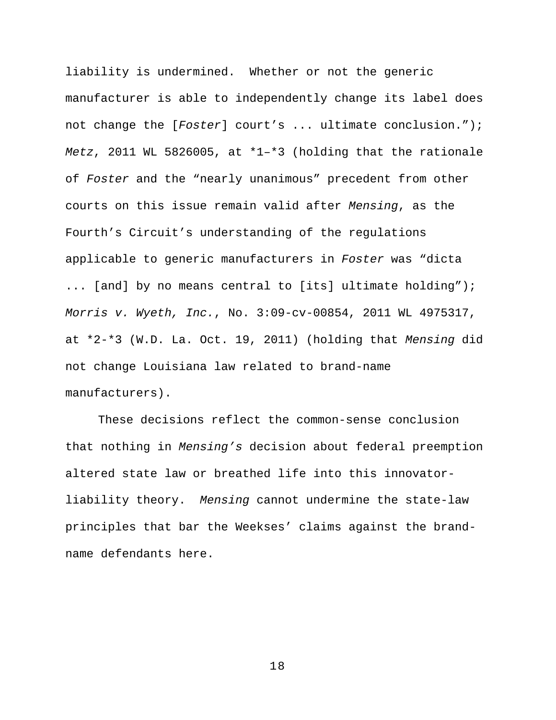liability is undermined. Whether or not the generic manufacturer is able to independently change its label does not change the [*Foster*] court's ... ultimate conclusion."); *Metz*, 2011 WL 5826005, at \*1–\*3 (holding that the rationale of *Foster* and the "nearly unanimous" precedent from other courts on this issue remain valid after *Mensing*, as the Fourth's Circuit's understanding of the regulations applicable to generic manufacturers in *Foster* was "dicta ... [and] by no means central to [its] ultimate holding"); *Morris v. Wyeth, Inc.*, No. 3:09-cv-00854, 2011 WL 4975317, at \*2-\*3 (W.D. La. Oct. 19, 2011) (holding that *Mensing* did not change Louisiana law related to brand-name manufacturers).

These decisions reflect the common-sense conclusion that nothing in *Mensing's* decision about federal preemption altered state law or breathed life into this innovatorliability theory. *Mensing* cannot undermine the state-law principles that bar the Weekses' claims against the brandname defendants here.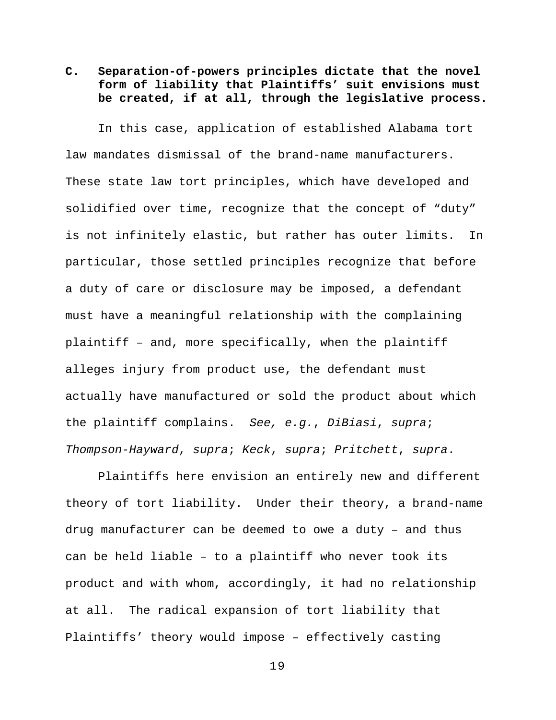# <span id="page-26-0"></span>**C. Separation-of-powers principles dictate that the novel form of liability that Plaintiffs' suit envisions must be created, if at all, through the legislative process.**

In this case, application of established Alabama tort law mandates dismissal of the brand-name manufacturers. These state law tort principles, which have developed and solidified over time, recognize that the concept of "duty" is not infinitely elastic, but rather has outer limits. In particular, those settled principles recognize that before a duty of care or disclosure may be imposed, a defendant must have a meaningful relationship with the complaining plaintiff – and, more specifically, when the plaintiff alleges injury from product use, the defendant must actually have manufactured or sold the product about which the plaintiff complains. *See, e.g.*, *DiBiasi*, *supra*; *Thompson-Hayward*, *supra*; *Keck*, *supra*; *Pritchett*, *supra*.

Plaintiffs here envision an entirely new and different theory of tort liability. Under their theory, a brand-name drug manufacturer can be deemed to owe a duty – and thus can be held liable – to a plaintiff who never took its product and with whom, accordingly, it had no relationship at all. The radical expansion of tort liability that Plaintiffs' theory would impose – effectively casting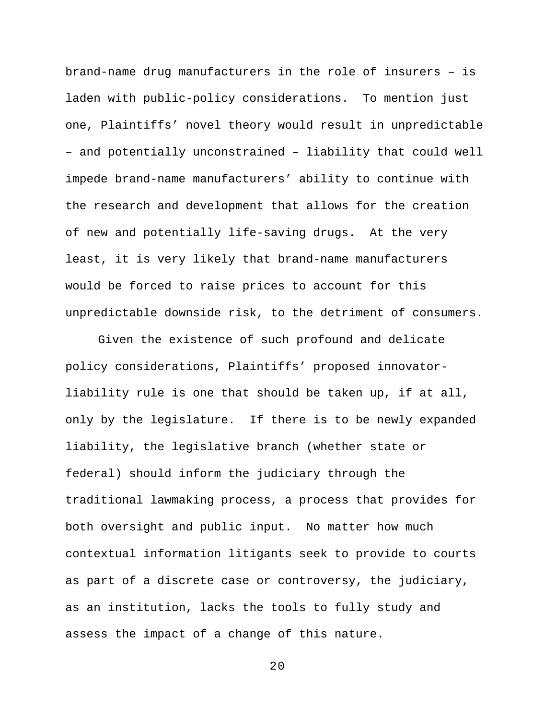brand-name drug manufacturers in the role of insurers – is laden with public-policy considerations. To mention just one, Plaintiffs' novel theory would result in unpredictable – and potentially unconstrained – liability that could well impede brand-name manufacturers' ability to continue with the research and development that allows for the creation of new and potentially life-saving drugs. At the very least, it is very likely that brand-name manufacturers would be forced to raise prices to account for this unpredictable downside risk, to the detriment of consumers.

Given the existence of such profound and delicate policy considerations, Plaintiffs' proposed innovatorliability rule is one that should be taken up, if at all, only by the legislature. If there is to be newly expanded liability, the legislative branch (whether state or federal) should inform the judiciary through the traditional lawmaking process, a process that provides for both oversight and public input. No matter how much contextual information litigants seek to provide to courts as part of a discrete case or controversy, the judiciary, as an institution, lacks the tools to fully study and assess the impact of a change of this nature.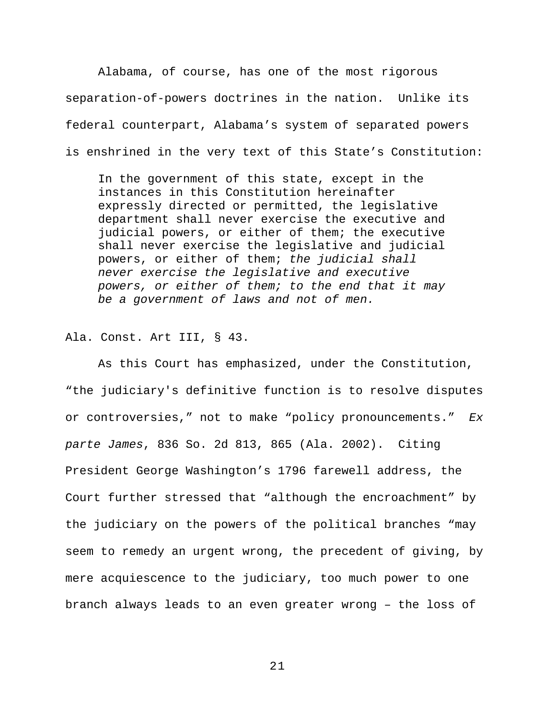Alabama, of course, has one of the most rigorous separation-of-powers doctrines in the nation. Unlike its federal counterpart, Alabama's system of separated powers is enshrined in the very text of this State's Constitution:

In the government of this state, except in the instances in this Constitution hereinafter expressly directed or permitted, the legislative department shall never exercise the executive and judicial powers, or either of them; the executive shall never exercise the legislative and judicial powers, or either of them; *the judicial shall never exercise the legislative and executive powers, or either of them; to the end that it may be a government of laws and not of men.*

Ala. Const. Art III, § 43.

As this Court has emphasized, under the Constitution, "the judiciary's definitive function is to resolve disputes or controversies," not to make "policy pronouncements." *Ex parte James*, 836 So. 2d 813, 865 (Ala. 2002). Citing President George Washington's 1796 farewell address, the Court further stressed that "although the encroachment" by the judiciary on the powers of the political branches "may seem to remedy an urgent wrong, the precedent of giving, by mere acquiescence to the judiciary, too much power to one branch always leads to an even greater wrong – the loss of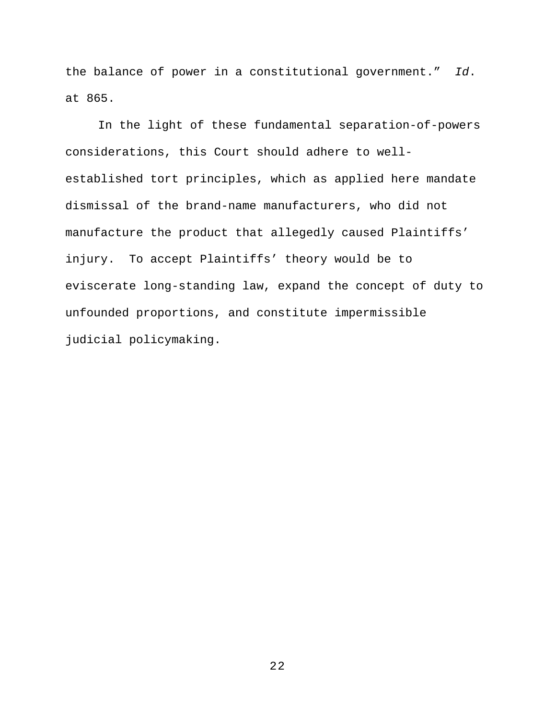the balance of power in a constitutional government." *Id*. at 865.

In the light of these fundamental separation-of-powers considerations, this Court should adhere to wellestablished tort principles, which as applied here mandate dismissal of the brand-name manufacturers, who did not manufacture the product that allegedly caused Plaintiffs' injury. To accept Plaintiffs' theory would be to eviscerate long-standing law, expand the concept of duty to unfounded proportions, and constitute impermissible judicial policymaking.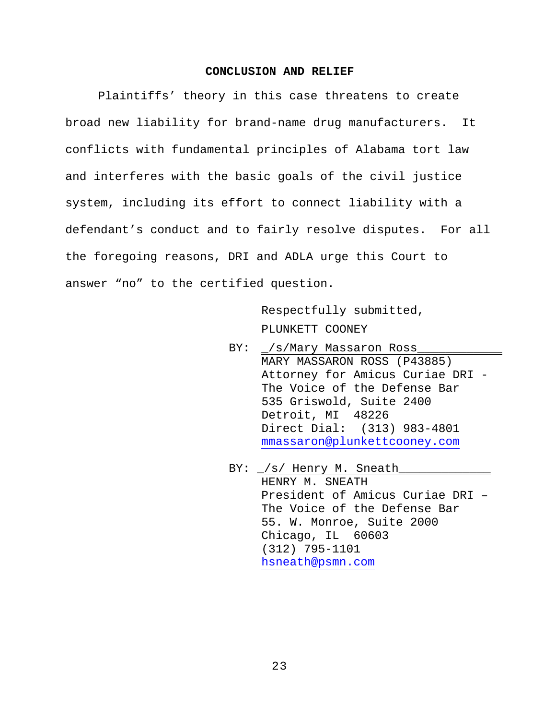#### **CONCLUSION AND RELIEF**

<span id="page-30-0"></span>Plaintiffs' theory in this case threatens to create broad new liability for brand-name drug manufacturers. It conflicts with fundamental principles of Alabama tort law and interferes with the basic goals of the civil justice system, including its effort to connect liability with a defendant's conduct and to fairly resolve disputes. For all the foregoing reasons, DRI and ADLA urge this Court to answer "no" to the certified question.

> Respectfully submitted, PLUNKETT COONEY

- BY:  $\angle$ /s/Mary Massaron Ross MARY MASSARON ROSS (P43885) Attorney for Amicus Curiae DRI - The Voice of the Defense Bar 535 Griswold, Suite 2400 Detroit, MI 48226 Direct Dial: (313) 983-4801 [mmassaron@plunkettcooney.com](mailto:mmassaron@plunkettcooney.com)
- BY:  $\angle$ /s/ Henry M. Sneath HENRY M. SNEATH President of Amicus Curiae DRI – The Voice of the Defense Bar 55. W. Monroe, Suite 2000 Chicago, IL 60603 (312) 795-1101 [hsneath@psmn.com](mailto:hsneath@psmn.com)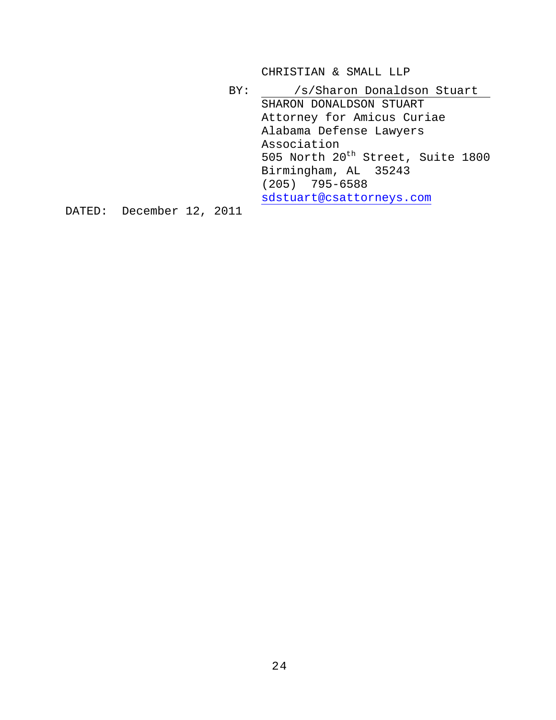CHRISTIAN & SMALL LLP

BY: /s/Sharon Donaldson Stuart SHARON DONALDSON STUART Attorney for Amicus Curiae Alabama Defense Lawyers Association 505 North 20<sup>th</sup> Street, Suite 1800 Birmingham, AL 35243 (205) 795-6588 [sdstuart@csattorneys.com](mailto:sdstuart@csattorneys.com)

DATED: December 12, 2011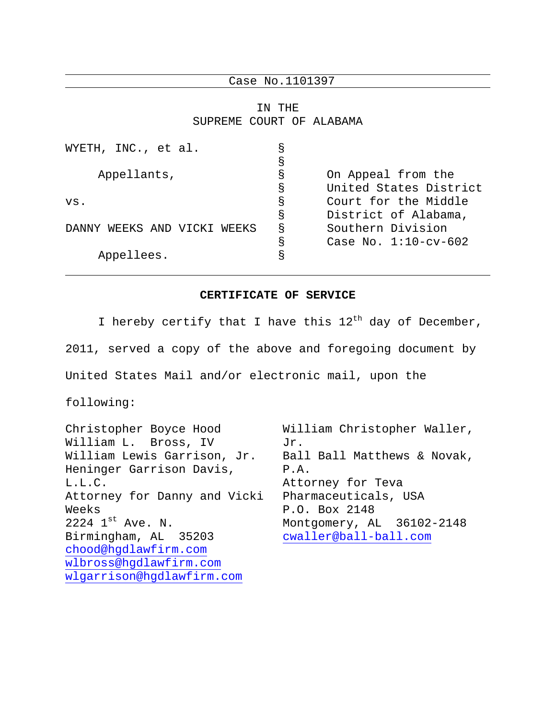Case No.1101397

IN THE SUPREME COURT OF ALABAMA

| WYETH, INC., et al.               | S |                         |
|-----------------------------------|---|-------------------------|
|                                   | S |                         |
| Appellants,                       | g | On Appeal from the      |
|                                   | S | United States District  |
| vs.                               | S | Court for the Middle    |
|                                   | S | District of Alabama,    |
| WEEKS AND VICKI<br>DANNY<br>WEEKS | S | Southern Division       |
|                                   | S | Case No. $1:10$ -cv-602 |
| Appellees.                        | S |                         |
|                                   |   |                         |

### **CERTIFICATE OF SERVICE**

I hereby certify that I have this  $12^{th}$  day of December, 2011, served a copy of the above and foregoing document by United States Mail and/or electronic mail, upon the

following:

Christopher Boyce Hood William L. Bross, IV William Lewis Garrison, Jr. Heninger Garrison Davis, L.L.C. Attorney for Danny and Vicki Weeks  $2224$   $1^{st}$  Ave. N. Birmingham, AL 35203 [chood@hgdlawfirm.com](mailto:chood@hgdlawfirm.com) [wlbross@hgdlawfirm.com](mailto:wlbross@hgdlawfirm.com) [wlgarrison@hgdlawfirm.com](mailto:wlgarrison@hgdlawfirm.com) William Christopher Waller, Jr. Ball Ball Matthews & Novak, P.A. Attorney for Teva Pharmaceuticals, USA P.O. Box 2148 Montgomery, AL 36102-2148 [cwaller@ball-ball.com](mailto:cwaller@ball-ball.com)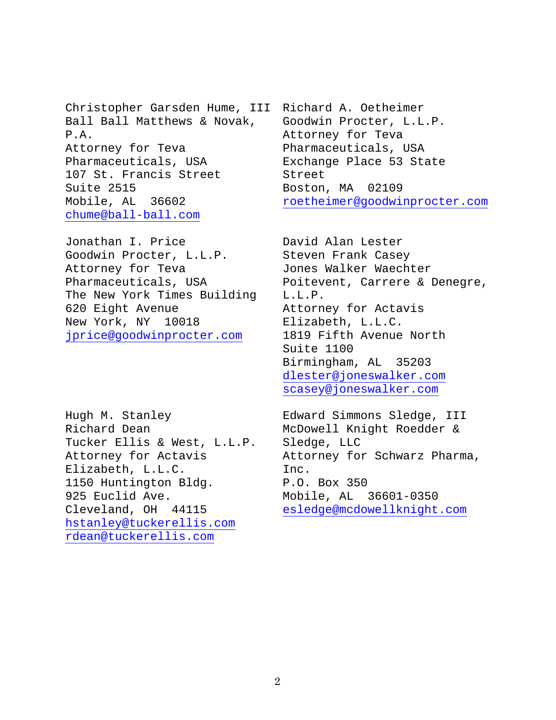Christopher Garsden Hume, III Ball Ball Matthews & Novak, P.A. Attorney for Teva Pharmaceuticals, USA 107 St. Francis Street Suite 2515 Mobile, AL 36602 [chume@ball-ball.com](mailto:chume@ball-ball.com)

Jonathan I. Price Goodwin Procter, L.L.P. Attorney for Teva Pharmaceuticals, USA The New York Times Building 620 Eight Avenue New York, NY 10018 [jprice@goodwinprocter.com](mailto:jprice@goodwinprocter.com)

Hugh M. Stanley Richard Dean Tucker Ellis & West, L.L.P. Attorney for Actavis Elizabeth, L.L.C. 1150 Huntington Bldg. 925 Euclid Ave. Cleveland, OH 44115 [hstanley@tuckerellis.com](mailto:hstanley@tuckerellis.com) [rdean@tuckerellis.com](mailto:rdean@tuckerellis.com)

Richard A. Oetheimer Goodwin Procter, L.L.P. Attorney for Teva Pharmaceuticals, USA Exchange Place 53 State Street Boston, MA 02109 [roetheimer@goodwinprocter.com](mailto:roetheimer@goodwinprocter.com)

David Alan Lester Steven Frank Casey Jones Walker Waechter Poitevent, Carrere & Denegre, L.L.P. Attorney for Actavis Elizabeth, L.L.C. 1819 Fifth Avenue North Suite 1100 Birmingham, AL 35203 [dlester@joneswalker.com](mailto:dlester@joneswalker.com) [scasey@joneswalker.com](mailto:scasey@joneswalker.com)

Edward Simmons Sledge, III McDowell Knight Roedder & Sledge, LLC Attorney for Schwarz Pharma, Inc. P.O. Box 350 Mobile, AL 36601-0350 [esledge@mcdowellknight.com](mailto:esledge@mcdowellknight.com)